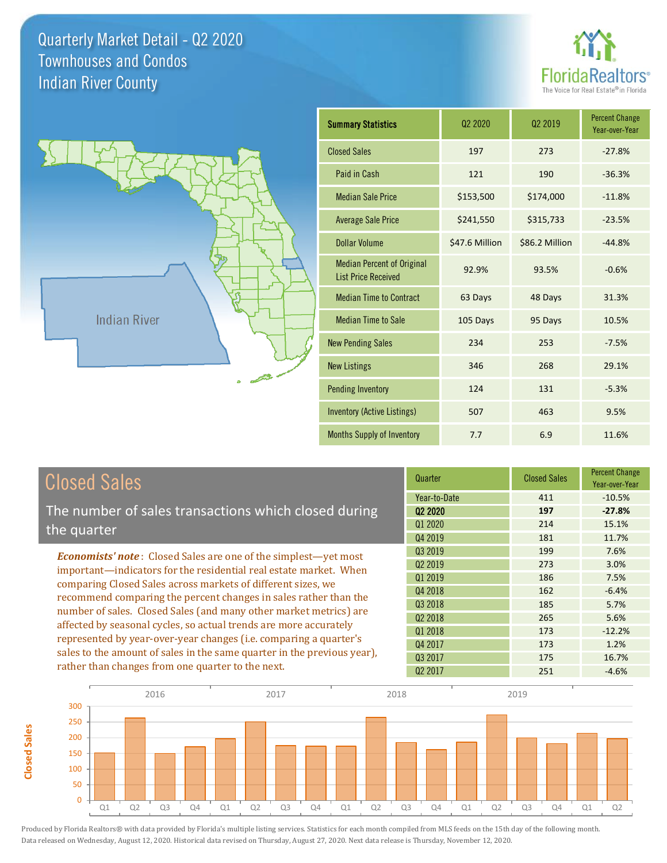**Closed Sales**

**Closed Sales** 





| <b>Closed Sales</b>                                                                                                                                                                                                                                                                                                                                                                                                                                                                                                                                  | Quarter             | <b>Closed Sales</b> | <b>Percent Change</b><br>Year-over-Year |
|------------------------------------------------------------------------------------------------------------------------------------------------------------------------------------------------------------------------------------------------------------------------------------------------------------------------------------------------------------------------------------------------------------------------------------------------------------------------------------------------------------------------------------------------------|---------------------|---------------------|-----------------------------------------|
|                                                                                                                                                                                                                                                                                                                                                                                                                                                                                                                                                      | Year-to-Date        | 411                 | $-10.5%$                                |
| The number of sales transactions which closed during                                                                                                                                                                                                                                                                                                                                                                                                                                                                                                 | Q <sub>2</sub> 2020 | 197                 | $-27.8%$                                |
| the quarter                                                                                                                                                                                                                                                                                                                                                                                                                                                                                                                                          | Q1 2020             | 214                 | 15.1%                                   |
|                                                                                                                                                                                                                                                                                                                                                                                                                                                                                                                                                      | Q4 2019             | 181                 | 11.7%                                   |
| <b>Economists' note:</b> Closed Sales are one of the simplest-yet most                                                                                                                                                                                                                                                                                                                                                                                                                                                                               | Q3 2019             | 199                 | 7.6%                                    |
| important—indicators for the residential real estate market. When<br>comparing Closed Sales across markets of different sizes, we<br>recommend comparing the percent changes in sales rather than the<br>number of sales. Closed Sales (and many other market metrics) are<br>affected by seasonal cycles, so actual trends are more accurately<br>represented by year-over-year changes (i.e. comparing a quarter's<br>sales to the amount of sales in the same quarter in the previous year),<br>rather than changes from one quarter to the next. | Q <sub>2</sub> 2019 | 273                 | 3.0%                                    |
|                                                                                                                                                                                                                                                                                                                                                                                                                                                                                                                                                      | Q1 2019             | 186                 | 7.5%                                    |
|                                                                                                                                                                                                                                                                                                                                                                                                                                                                                                                                                      | Q4 2018             | 162                 | $-6.4%$                                 |
|                                                                                                                                                                                                                                                                                                                                                                                                                                                                                                                                                      | Q3 2018             | 185                 | 5.7%                                    |
|                                                                                                                                                                                                                                                                                                                                                                                                                                                                                                                                                      | 02 2018             | 265                 | 5.6%                                    |
|                                                                                                                                                                                                                                                                                                                                                                                                                                                                                                                                                      | Q1 2018             | 173                 | $-12.2%$                                |
|                                                                                                                                                                                                                                                                                                                                                                                                                                                                                                                                                      | Q4 2017             | 173                 | 1.2%                                    |
|                                                                                                                                                                                                                                                                                                                                                                                                                                                                                                                                                      | Q3 2017             | 175                 | 16.7%                                   |
|                                                                                                                                                                                                                                                                                                                                                                                                                                                                                                                                                      | Q <sub>2</sub> 2017 | 251                 | $-4.6%$                                 |

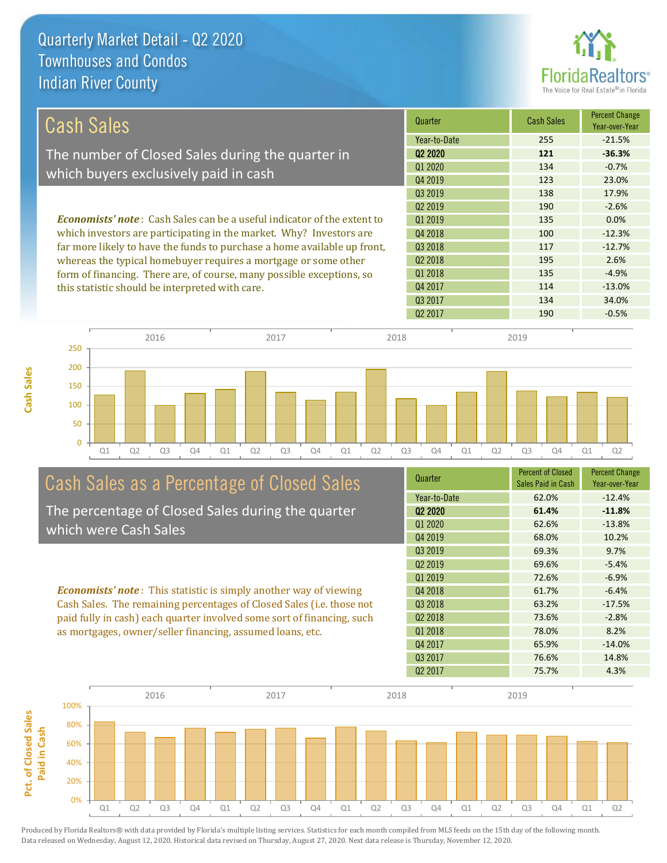

| Cash Sales                                                                     | Quarter             | <b>Cash Sales</b> | <b>Percent Change</b><br>Year-over-Year |
|--------------------------------------------------------------------------------|---------------------|-------------------|-----------------------------------------|
|                                                                                | Year-to-Date        | 255               | $-21.5%$                                |
| The number of Closed Sales during the quarter in                               | 02 2020             | 121               | $-36.3%$                                |
|                                                                                | 01 2020             | 134               | $-0.7\%$                                |
| which buyers exclusively paid in cash                                          | Q4 2019             | 123               | 23.0%                                   |
|                                                                                | Q3 2019             | 138               | 17.9%                                   |
|                                                                                | 02 2019             | 190               | $-2.6%$                                 |
| <b>Economists' note:</b> Cash Sales can be a useful indicator of the extent to | 01 2019             | 135               | 0.0%                                    |
| which investors are participating in the market. Why? Investors are            | Q4 2018             | 100               | $-12.3%$                                |
| far more likely to have the funds to purchase a home available up front,       | Q3 2018             | 117               | $-12.7%$                                |
| whereas the typical homebuyer requires a mortgage or some other                | Q <sub>2</sub> 2018 | 195               | 2.6%                                    |
| form of financing. There are, of course, many possible exceptions, so          | 01 2018             | 135               | $-4.9%$                                 |
| this statistic should be interpreted with care.                                | Q4 2017             | 114               | $-13.0%$                                |
|                                                                                | Q3 2017             | 134               | 34.0%                                   |



# Cash Sales as a Percentage of Closed Sales

The percentage of Closed Sales during the quarter which were Cash Sales

*Economists' note* : This statistic is simply another way of viewing Cash Sales. The remaining percentages of Closed Sales (i.e. those not paid fully in cash) each quarter involved some sort of financing, such as mortgages, owner/seller financing, assumed loans, etc.

| Quarter                         | <b>Percent of Closed</b> | <b>Percent Change</b> |
|---------------------------------|--------------------------|-----------------------|
|                                 | Sales Paid in Cash       | Year-over-Year        |
| Year-to-Date                    | 62.0%                    | $-12.4%$              |
| Q <sub>2</sub> 20 <sub>20</sub> | 61.4%                    | $-11.8%$              |
| 01 2020                         | 62.6%                    | $-13.8%$              |
| Q4 2019                         | 68.0%                    | 10.2%                 |
| Q3 2019                         | 69.3%                    | 9.7%                  |
| Q <sub>2</sub> 2019             | 69.6%                    | $-5.4%$               |
| 01 2019                         | 72.6%                    | $-6.9%$               |
| Q4 2018                         | 61.7%                    | $-6.4%$               |
| Q <sub>3</sub> 2018             | 63.2%                    | $-17.5%$              |
| Q <sub>2</sub> 2018             | 73.6%                    | $-2.8%$               |
| Q1 2018                         | 78.0%                    | 8.2%                  |
| Q4 2017                         | 65.9%                    | $-14.0%$              |
| Q <sub>3</sub> 2017             | 76.6%                    | 14.8%                 |
| Q <sub>2</sub> 2017             | 75.7%                    | 4.3%                  |
|                                 |                          |                       |

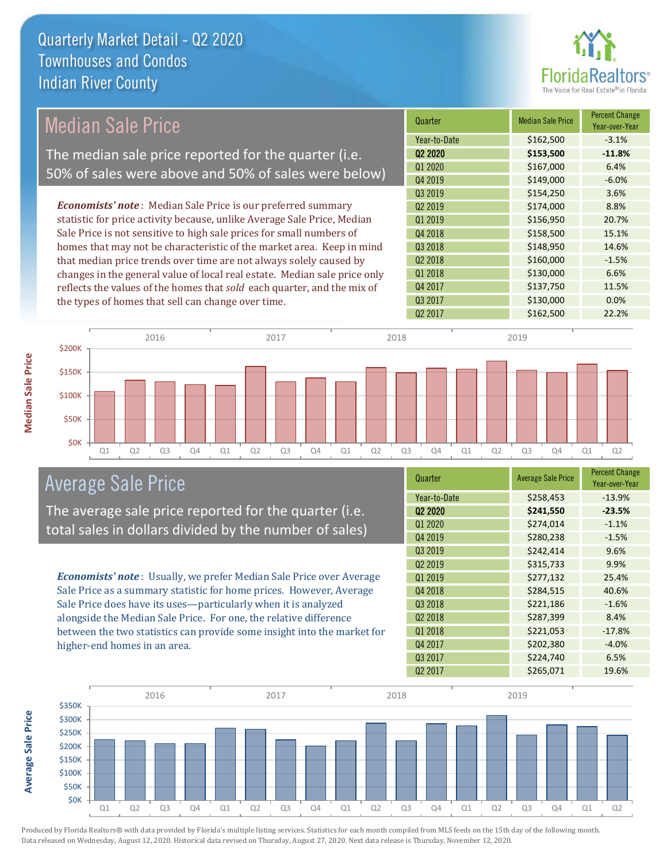

#### *Economists' note* : Median Sale Price is our preferred summary statistic for price activity because, unlike Average Sale Price, Median Sale Price is not sensitive to high sale prices for small numbers of homes that may not be characteristic of the market area. Keep in mind that median price trends over time are not always solely caused by changes in the general value of local real estate. Median sale price only reflects the values of the homes that *sold* each quarter, and the mix of the types of homes that sell can change over time. Q2 2017 \$162,500 22.2% Q4 2017 \$137,750 11.5% Q3 2017 \$130,000 0.0% Q2 2018  $\begin{array}{|c|c|c|c|c|c|}\n\hline\n&\text{$160,000} & -1.5\% \end{array}$ Q1 2018 **\$130,000** 6.6% \$154,250 3.6% Q2 2019 \$174,000 8.8% Q3 2018 **\$148,950** \$148,950 **14.6**% Q1 2020 \$167,000 6.4% Q4 2019 **\$149,000 -6.0%** Q1 2019 **\$156,950** 20.7% Q4 2018 **\$158,500** 15.1% Q3 2019 Quarter Median Sale Price Percent Change Year-over-Year Q2 2020 **\$153,500 -11.8%** Year-to-Date \$162,500 -3.1% \$100K \$150K \$200K 2016 2017 2018 2019 Median Sale Price The median sale price reported for the quarter (i.e. 50% of sales were above and 50% of sales were below)

Q1 Q2 Q3 Q4 Q1 Q2 Q3 Q4 Q1 Q2 Q3 Q4 Q1 Q2 Q3 Q4 Q1 Q2

# Average Sale Price

The average sale price reported for the quarter (i.e. total sales in dollars divided by the number of sales)

*Economists' note* : Usually, we prefer Median Sale Price over Average Sale Price as a summary statistic for home prices. However, Average Sale Price does have its uses—particularly when it is analyzed alongside the Median Sale Price. For one, the relative difference between the two statistics can provide some insight into the market for higher-end homes in an area.

| Quarter                         | <b>Average Sale Price</b> | <b>Percent Change</b><br>Year-over-Year |
|---------------------------------|---------------------------|-----------------------------------------|
| Year-to-Date                    | \$258,453                 | $-13.9%$                                |
| Q <sub>2</sub> 20 <sub>20</sub> | \$241,550                 | $-23.5%$                                |
| Q1 2020                         | \$274,014                 | $-1.1%$                                 |
| Q4 2019                         | \$280,238                 | $-1.5%$                                 |
| Q3 2019                         | \$242,414                 | 9.6%                                    |
| Q <sub>2</sub> 2019             | \$315,733                 | 9.9%                                    |
| Q1 2019                         | \$277,132                 | 25.4%                                   |
| Q4 2018                         | \$284,515                 | 40.6%                                   |
| Q3 2018                         | \$221,186                 | $-1.6%$                                 |
| Q <sub>2</sub> 2018             | \$287,399                 | 8.4%                                    |
| Q1 2018                         | \$221,053                 | $-17.8%$                                |
| Q4 2017                         | \$202,380                 | $-4.0%$                                 |
| Q3 2017                         | \$224,740                 | 6.5%                                    |
| Q2 2017                         | \$265,071                 | 19.6%                                   |



**Average Sale Price Average Sale Price**

\$0K

\$50K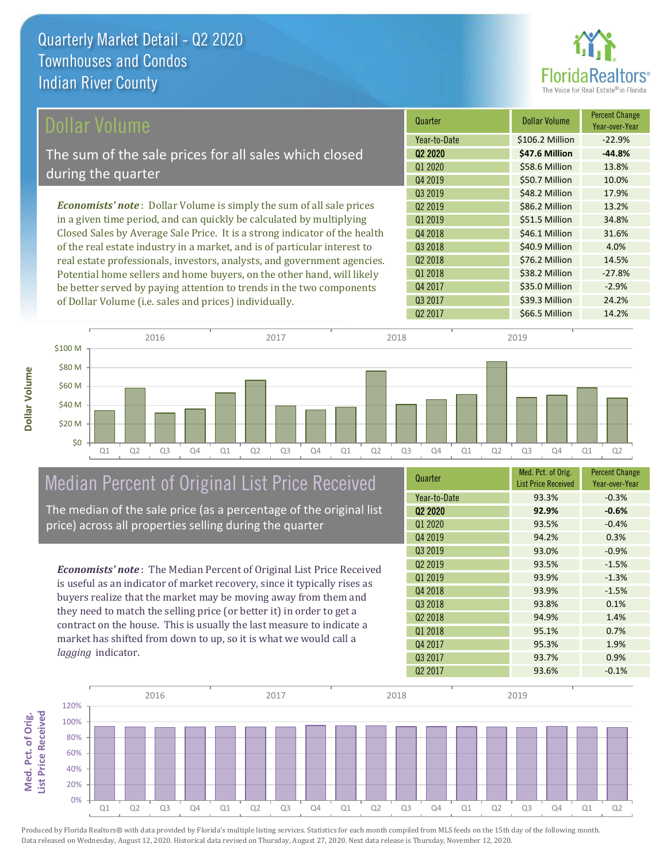

| Dollar Volume                                                                | Quarter             | <b>Dollar Volume</b> | <b>Percent Change</b><br>Year-over-Year |
|------------------------------------------------------------------------------|---------------------|----------------------|-----------------------------------------|
|                                                                              | Year-to-Date        | \$106.2 Million      | $-22.9%$                                |
| The sum of the sale prices for all sales which closed                        | 02 2020             | \$47.6 Million       | $-44.8%$                                |
|                                                                              | Q1 2020             | \$58.6 Million       | 13.8%                                   |
| during the quarter                                                           | Q4 2019             | \$50.7 Million       | 10.0%                                   |
|                                                                              | Q3 2019             | \$48.2 Million       | 17.9%                                   |
| <b>Economists' note</b> : Dollar Volume is simply the sum of all sale prices | 02 2019             | \$86.2 Million       | 13.2%                                   |
| in a given time period, and can quickly be calculated by multiplying         | 01 2019             | \$51.5 Million       | 34.8%                                   |
| Closed Sales by Average Sale Price. It is a strong indicator of the health   | Q4 2018             | \$46.1 Million       | 31.6%                                   |
| of the real estate industry in a market, and is of particular interest to    | Q3 2018             | \$40.9 Million       | 4.0%                                    |
| real estate professionals, investors, analysts, and government agencies.     | Q <sub>2</sub> 2018 | \$76.2 Million       | 14.5%                                   |
| Potential home sellers and home buyers, on the other hand, will likely       | 01 2018             | \$38.2 Million       | $-27.8%$                                |
| be better served by paying attention to trends in the two components         | Q4 2017             | \$35.0 Million       | $-2.9%$                                 |



# Median Percent of Original List Price Received

of Dollar Volume (i.e. sales and prices) individually.

The median of the sale price (as a percentage of the original list price) across all properties selling during the quarter

*Economists' note* : The Median Percent of Original List Price Received is useful as an indicator of market recovery, since it typically rises as buyers realize that the market may be moving away from them and they need to match the selling price (or better it) in order to get a contract on the house. This is usually the last measure to indicate a market has shifted from down to up, so it is what we would call a *lagging* indicator.

**Med. Pct. of Orig.** 

Med. Pct. of Orig.

**Dollar Volume**

| Quarter             | Med. Pct. of Orig.<br><b>List Price Received</b> | <b>Percent Change</b><br>Year-over-Year |
|---------------------|--------------------------------------------------|-----------------------------------------|
| Year-to-Date        | 93.3%                                            | $-0.3%$                                 |
| Q <sub>2</sub> 2020 | 92.9%                                            | $-0.6%$                                 |
| Q1 2020             | 93.5%                                            | $-0.4%$                                 |
| Q4 2019             | 94.2%                                            | 0.3%                                    |
| Q3 2019             | 93.0%                                            | $-0.9%$                                 |
| Q <sub>2</sub> 2019 | 93.5%                                            | $-1.5%$                                 |
| Q1 2019             | 93.9%                                            | $-1.3%$                                 |
| Q4 2018             | 93.9%                                            | $-1.5%$                                 |
| Q3 2018             | 93.8%                                            | 0.1%                                    |
| Q <sub>2</sub> 2018 | 94.9%                                            | 1.4%                                    |
| 01 2018             | 95.1%                                            | 0.7%                                    |
| Q4 2017             | 95.3%                                            | 1.9%                                    |
| Q3 2017             | 93.7%                                            | 0.9%                                    |
| Q <sub>2</sub> 2017 | 93.6%                                            | $-0.1%$                                 |

Q3 2017 **\$39.3 Million 24.2%** 

Q2 2017 \$66.5 Million 14.2%

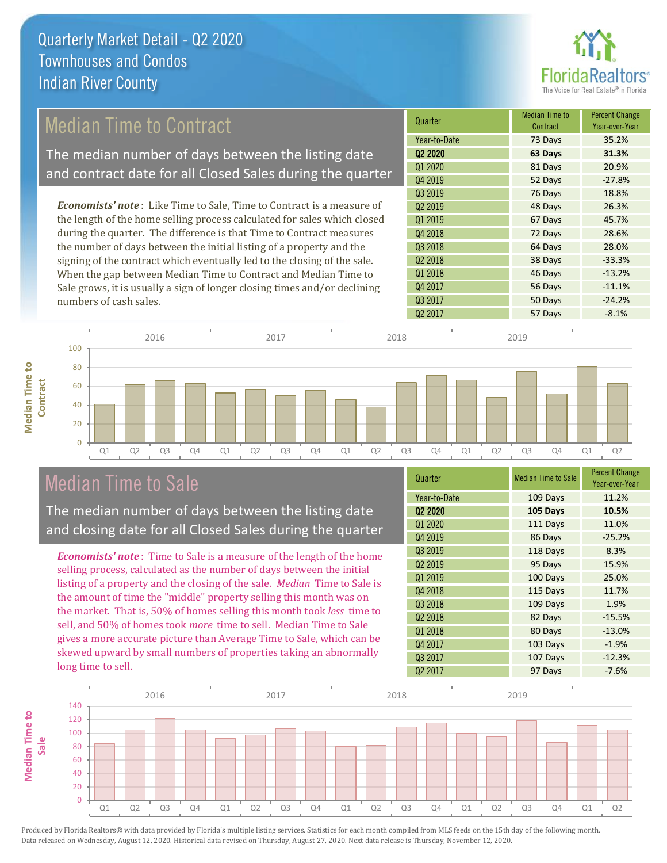

# Median Time to Contract

The median number of days between the listing date and contract date for all Closed Sales during the quarter

*Economists' note* : Like Time to Sale, Time to Contract is a measure of the length of the home selling process calculated for sales which closed during the quarter. The difference is that Time to Contract measures the number of days between the initial listing of a property and the signing of the contract which eventually led to the closing of the sale. When the gap between Median Time to Contract and Median Time to Sale grows, it is usually a sign of longer closing times and/or declining numbers of cash sales.

| Quarter             | Median Time to<br>Contract | <b>Percent Change</b><br>Year-over-Year |
|---------------------|----------------------------|-----------------------------------------|
| Year-to-Date        | 73 Days                    | 35.2%                                   |
| Q <sub>2</sub> 2020 | 63 Days                    | 31.3%                                   |
| Q1 2020             | 81 Days                    | 20.9%                                   |
| Q4 2019             | 52 Days                    | $-27.8%$                                |
| Q3 2019             | 76 Days                    | 18.8%                                   |
| Q <sub>2</sub> 2019 | 48 Days                    | 26.3%                                   |
| Q1 2019             | 67 Days                    | 45.7%                                   |
| Q4 2018             | 72 Days                    | 28.6%                                   |
| Q3 2018             | 64 Days                    | 28.0%                                   |
| Q <sub>2</sub> 2018 | 38 Days                    | $-33.3%$                                |
| 01 2018             | 46 Days                    | $-13.2%$                                |
| Q4 2017             | 56 Days                    | $-11.1%$                                |
| Q3 2017             | 50 Days                    | $-24.2%$                                |
| Q <sub>2</sub> 2017 | 57 Days                    | $-8.1%$                                 |



## Median Time to Sale

**Median Time to** 

The median number of days between the listing date and closing date for all Closed Sales during the quarter

*Economists' note* : Time to Sale is a measure of the length of the home selling process, calculated as the number of days between the initial listing of a property and the closing of the sale. *Median* Time to Sale is the amount of time the "middle" property selling this month was on the market. That is, 50% of homes selling this month took *less* time to sell, and 50% of homes took *more* time to sell. Median Time to Sale gives a more accurate picture than Average Time to Sale, which can be skewed upward by small numbers of properties taking an abnormally long time to sell.

| Quarter             | <b>Median Time to Sale</b> | <b>Percent Change</b><br>Year-over-Year |
|---------------------|----------------------------|-----------------------------------------|
| Year-to-Date        | 109 Days                   | 11.2%                                   |
| Q <sub>2</sub> 2020 | 105 Days                   | 10.5%                                   |
| Q1 2020             | 111 Days                   | 11.0%                                   |
| Q4 2019             | 86 Days                    | $-25.2%$                                |
| Q3 2019             | 118 Days                   | 8.3%                                    |
| Q <sub>2</sub> 2019 | 95 Days                    | 15.9%                                   |
| Q1 2019             | 100 Days                   | 25.0%                                   |
| Q4 2018             | 115 Days                   | 11.7%                                   |
| Q3 2018             | 109 Days                   | 1.9%                                    |
| Q <sub>2</sub> 2018 | 82 Days                    | $-15.5%$                                |
| Q1 2018             | 80 Days                    | $-13.0%$                                |
| Q4 2017             | 103 Days                   | $-1.9%$                                 |
| Q3 2017             | 107 Days                   | $-12.3%$                                |
| Q <sub>2</sub> 2017 | 97 Days                    | $-7.6%$                                 |

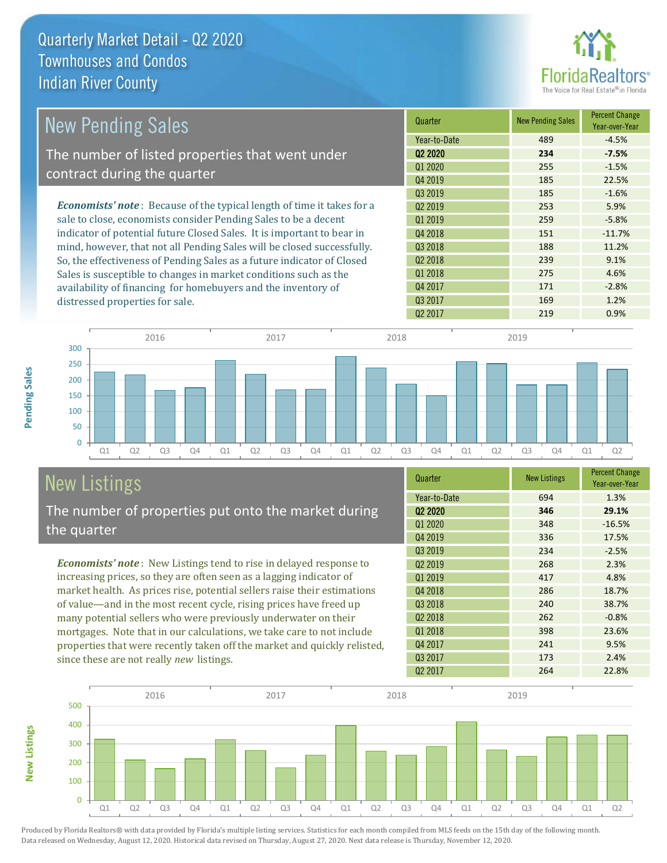

| <b>New Pending Sales</b>                                                      | Quarter             | <b>New Pending Sales</b> | <b>Percent Change</b><br>Year-over-Year |
|-------------------------------------------------------------------------------|---------------------|--------------------------|-----------------------------------------|
|                                                                               | Year-to-Date        | 489                      | $-4.5%$                                 |
| The number of listed properties that went under                               | 02 2020             | 234                      | $-7.5%$                                 |
| contract during the quarter                                                   | Q1 2020             | 255                      | $-1.5%$                                 |
|                                                                               | Q4 2019             | 185                      | 22.5%                                   |
|                                                                               | Q3 2019             | 185                      | $-1.6%$                                 |
| <b>Economists' note:</b> Because of the typical length of time it takes for a | Q <sub>2</sub> 2019 | 253                      | 5.9%                                    |
| sale to close, economists consider Pending Sales to be a decent               | 01 2019             | 259                      | $-5.8%$                                 |
| indicator of potential future Closed Sales. It is important to bear in        | Q4 2018             | 151                      | $-11.7%$                                |
| mind, however, that not all Pending Sales will be closed successfully.        | Q3 2018             | 188                      | 11.2%                                   |
| So, the effectiveness of Pending Sales as a future indicator of Closed        | Q <sub>2</sub> 2018 | 239                      | 9.1%                                    |
| Sales is susceptible to changes in market conditions such as the              | Q1 2018             | 275                      | 4.6%                                    |
| availability of financing for homebuyers and the inventory of                 | Q4 2017             | 171                      | $-2.8%$                                 |

distressed properties for sale.





# New Listings

**New Listings**

**Pending Sales**

**Pending Sales** 

The number of properties put onto the market during the quarter

*Economists' note* : New Listings tend to rise in delayed response to increasing prices, so they are often seen as a lagging indicator of market health. As prices rise, potential sellers raise their estimations of value—and in the most recent cycle, rising prices have freed up many potential sellers who were previously underwater on their mortgages. Note that in our calculations, we take care to not include properties that were recently taken off the market and quickly relisted, since these are not really *new* listings.

| Quarter             | <b>New Listings</b> | <b>Percent Change</b><br>Year-over-Year |
|---------------------|---------------------|-----------------------------------------|
| Year-to-Date        | 694                 | 1.3%                                    |
| Q2 2020             | 346                 | 29.1%                                   |
| 01 2020             | 348                 | $-16.5%$                                |
| Q4 2019             | 336                 | 17.5%                                   |
| Q3 2019             | 234                 | $-2.5%$                                 |
| Q <sub>2</sub> 2019 | 268                 | 2.3%                                    |
| Q1 2019             | 417                 | 4.8%                                    |
| Q4 2018             | 286                 | 18.7%                                   |
| Q3 2018             | 240                 | 38.7%                                   |
| Q <sub>2</sub> 2018 | 262                 | $-0.8%$                                 |
| 01 2018             | 398                 | 23.6%                                   |
| Q4 2017             | 241                 | 9.5%                                    |
| Q3 2017             | 173                 | 2.4%                                    |
| Q <sub>2</sub> 2017 | 264                 | 22.8%                                   |

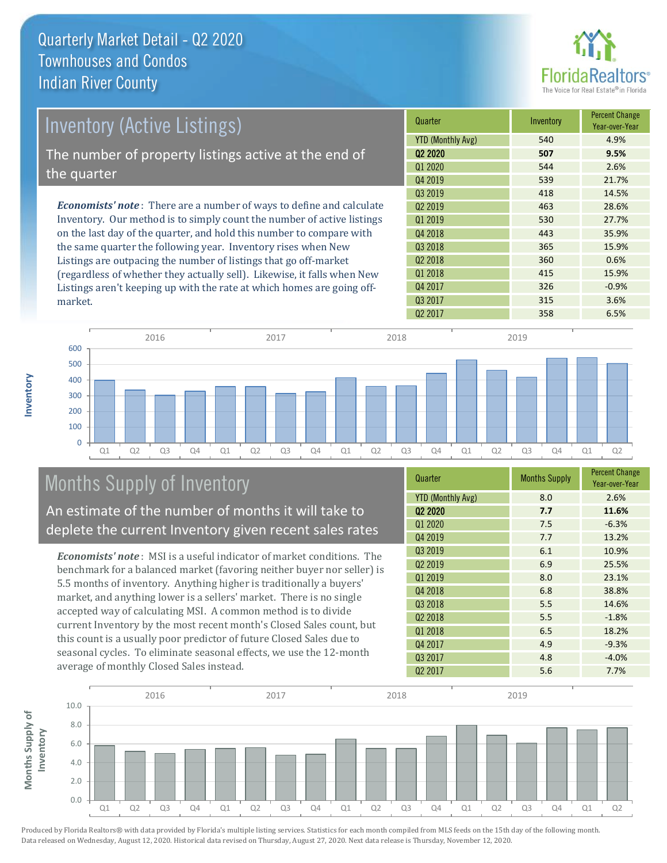

| <b>Inventory (Active Listings)</b>                                           | Quarter             | Inventory | <b>Percent Change</b><br>Year-over-Year |
|------------------------------------------------------------------------------|---------------------|-----------|-----------------------------------------|
|                                                                              | YTD (Monthly Avg)   | 540       | 4.9%                                    |
| The number of property listings active at the end of                         | 02 2020             | 507       | 9.5%                                    |
| the quarter                                                                  | Q1 2020             | 544       | 2.6%                                    |
|                                                                              | Q4 2019             | 539       | 21.7%                                   |
|                                                                              | 03 2019             | 418       | 14.5%                                   |
| <b>Economists' note</b> : There are a number of ways to define and calculate | 02 2019             | 463       | 28.6%                                   |
| Inventory. Our method is to simply count the number of active listings       | 01 2019             | 530       | 27.7%                                   |
| on the last day of the quarter, and hold this number to compare with         | Q4 2018             | 443       | 35.9%                                   |
| the same quarter the following year. Inventory rises when New                | Q3 2018             | 365       | 15.9%                                   |
| Listings are outpacing the number of listings that go off-market             | Q <sub>2</sub> 2018 | 360       | 0.6%                                    |
| (regardless of whether they actually sell). Likewise, it falls when New      | 01 2018             | 415       | 15.9%                                   |

Q2 2017 2017 202 2017 Q1 Q2 Q3 Q4 Q1 Q2 Q3 Q4 Q1 Q2 Q3 Q4 Q1 Q2 Q3 Q4 Q1 Q2  $\Omega$ 100 200 300 400 500 600 2016 2017 2018 2019

# Months Supply of Inventory

An estimate of the number of months it will take to deplete the current Inventory given recent sales rates

Listings aren't keeping up with the rate at which homes are going off-

*Economists' note* : MSI is a useful indicator of market conditions. The benchmark for a balanced market (favoring neither buyer nor seller) is 5.5 months of inventory. Anything higher is traditionally a buyers' market, and anything lower is a sellers' market. There is no single accepted way of calculating MSI. A common method is to divide current Inventory by the most recent month's Closed Sales count, but this count is a usually poor predictor of future Closed Sales due to seasonal cycles. To eliminate seasonal effects, we use the 12-month average of monthly Closed Sales instead.

| Quarter                  | <b>Months Supply</b> | <b>Percent Change</b><br>Year-over-Year |
|--------------------------|----------------------|-----------------------------------------|
| <b>YTD (Monthly Avg)</b> | 8.0                  | 2.6%                                    |
| Q <sub>2</sub> 2020      | 7.7                  | 11.6%                                   |
| Q1 2020                  | 7.5                  | $-6.3%$                                 |
| Q4 2019                  | 7.7                  | 13.2%                                   |
| 03 2019                  | 6.1                  | 10.9%                                   |
| Q <sub>2</sub> 2019      | 6.9                  | 25.5%                                   |
| Q1 2019                  | 8.0                  | 23.1%                                   |
| Q4 2018                  | 6.8                  | 38.8%                                   |
| Q3 2018                  | 5.5                  | 14.6%                                   |
| 02 2018                  | 5.5                  | $-1.8%$                                 |
| Q1 2018                  | 6.5                  | 18.2%                                   |
| Q4 2017                  | 4.9                  | $-9.3%$                                 |
| Q3 2017                  | 4.8                  | $-4.0%$                                 |
| Q <sub>2</sub> 2017      | 5.6                  | 7.7%                                    |

Q4 2017 326 326 -0.9% Q3 2017 315 315 3.6%



market.

**Inventory**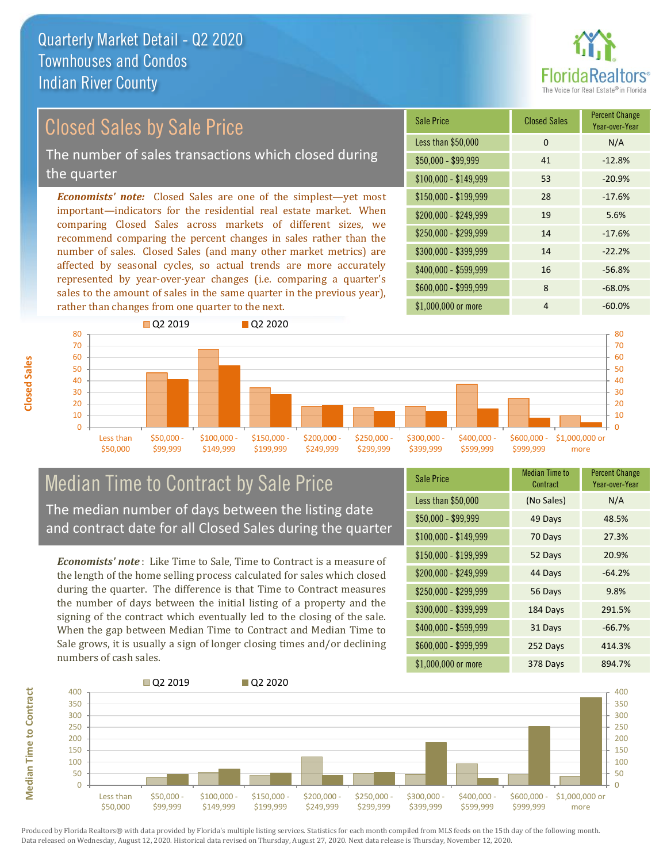

# Closed Sales by Sale Price

The number of sales transactions which closed during the quarter

*Economists' note:* Closed Sales are one of the simplest—yet most important—indicators for the residential real estate market. When comparing Closed Sales across markets of different sizes, we recommend comparing the percent changes in sales rather than the number of sales. Closed Sales (and many other market metrics) are affected by seasonal cycles, so actual trends are more accurately represented by year-over-year changes (i.e. comparing a quarter's sales to the amount of sales in the same quarter in the previous year), rather than changes from one quarter to the next.

| <b>Sale Price</b>     | <b>Closed Sales</b> | <b>Percent Change</b><br>Year-over-Year |
|-----------------------|---------------------|-----------------------------------------|
| Less than \$50,000    | 0                   | N/A                                     |
| $$50,000 - $99,999$   | 41                  | $-12.8%$                                |
| $$100,000 - $149,999$ | 53                  | $-20.9%$                                |
| $$150,000 - $199,999$ | 28                  | $-17.6%$                                |
| \$200,000 - \$249,999 | 19                  | 5.6%                                    |
| \$250,000 - \$299,999 | 14                  | $-17.6%$                                |
| \$300,000 - \$399,999 | 14                  | $-22.2%$                                |
| \$400,000 - \$599,999 | 16                  | $-56.8%$                                |
| \$600,000 - \$999,999 | 8                   | $-68.0%$                                |
| \$1,000,000 or more   | 4                   | $-60.0%$                                |



## Median Time to Contract by Sale Price The median number of days between the listing date and contract date for all Closed Sales during the quarter

*Economists' note* : Like Time to Sale, Time to Contract is a measure of the length of the home selling process calculated for sales which closed during the quarter. The difference is that Time to Contract measures

the number of days between the initial listing of a property and the signing of the contract which eventually led to the closing of the sale. When the gap between Median Time to Contract and Median Time to Sale grows, it is usually a sign of longer closing times and/or declining numbers of cash sales.

| <b>Sale Price</b>     | <b>Median Time to</b><br>Contract | <b>Percent Change</b><br>Year-over-Year |
|-----------------------|-----------------------------------|-----------------------------------------|
| Less than \$50,000    | (No Sales)                        | N/A                                     |
| $$50,000 - $99,999$   | 49 Days                           | 48.5%                                   |
| $$100,000 - $149,999$ | 70 Days                           | 27.3%                                   |
| \$150,000 - \$199,999 | 52 Days                           | 20.9%                                   |
| \$200,000 - \$249,999 | 44 Days                           | $-64.2%$                                |
| \$250,000 - \$299,999 | 56 Days                           | 9.8%                                    |
| \$300,000 - \$399,999 | 184 Days                          | 291.5%                                  |
| \$400,000 - \$599,999 | 31 Days                           | $-66.7%$                                |
| \$600,000 - \$999,999 | 252 Days                          | 414.3%                                  |
| \$1,000,000 or more   | 378 Days                          | 894.7%                                  |



Produced by Florida Realtors® with data provided by Florida's multiple listing services. Statistics for each month compiled from MLS feeds on the 15th day of the following month. Data released on Wednesday, August 12, 2020. Historical data revised on Thursday, August 27, 2020. Next data release is Thursday, November 12, 2020.

**Median Time to Contract**

**Median Time to Contract**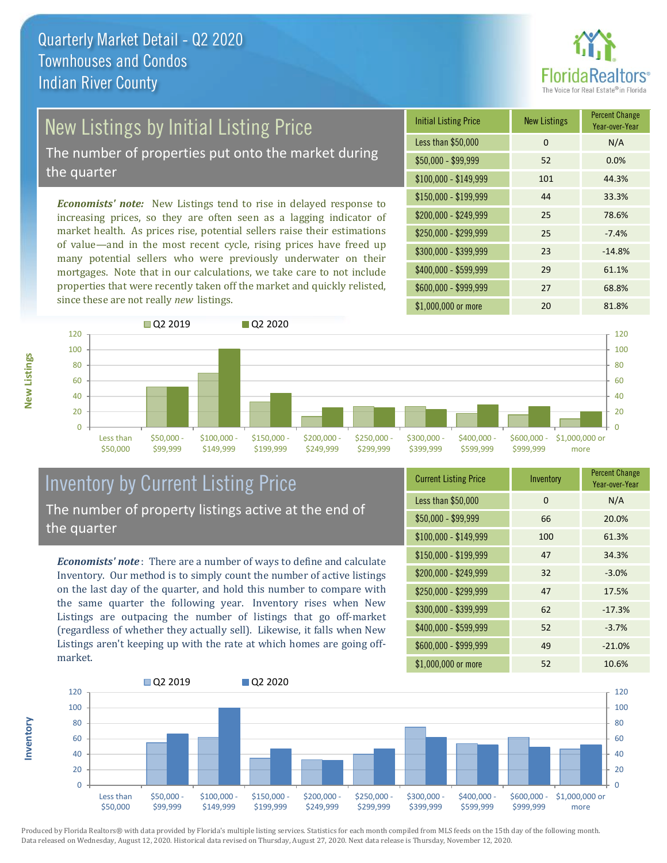

# New Listings by Initial Listing Price

The number of properties put onto the market during the quarter

*Economists' note:* New Listings tend to rise in delayed response to increasing prices, so they are often seen as a lagging indicator of market health. As prices rise, potential sellers raise their estimations of value—and in the most recent cycle, rising prices have freed up many potential sellers who were previously underwater on their mortgages. Note that in our calculations, we take care to not include properties that were recently taken off the market and quickly relisted, since these are not really *new* listings.

| <b>Initial Listing Price</b> | <b>New Listings</b> | <b>Percent Change</b><br>Year-over-Year |
|------------------------------|---------------------|-----------------------------------------|
| Less than \$50,000           | $\Omega$            | N/A                                     |
| $$50,000 - $99,999$          | 52                  | 0.0%                                    |
| $$100,000 - $149,999$        | 101                 | 44.3%                                   |
| $$150,000 - $199,999$        | 44                  | 33.3%                                   |
| \$200,000 - \$249,999        | 25                  | 78.6%                                   |
| \$250,000 - \$299,999        | 25                  | $-7.4%$                                 |
| \$300,000 - \$399,999        | 23                  | $-14.8%$                                |
| \$400,000 - \$599,999        | 29                  | 61.1%                                   |
| \$600,000 - \$999,999        | 27                  | 68.8%                                   |
| \$1,000,000 or more          | 20                  | 81.8%                                   |



## Inventory by Current Listing Price The number of property listings active at the end of the quarter

*Economists' note* : There are a number of ways to define and calculate Inventory. Our method is to simply count the number of active listings on the last day of the quarter, and hold this number to compare with the same quarter the following year. Inventory rises when New Listings are outpacing the number of listings that go off-market (regardless of whether they actually sell). Likewise, it falls when New Listings aren't keeping up with the rate at which homes are going offmarket.

|  | <b>Current Listing Price</b> | Inventory | <b>Percent Change</b><br>Year-over-Year |
|--|------------------------------|-----------|-----------------------------------------|
|  | Less than \$50,000           | $\Omega$  | N/A                                     |
|  | $$50,000 - $99,999$          | 66        | 20.0%                                   |
|  | $$100,000 - $149,999$        | 100       | 61.3%                                   |
|  | $$150,000 - $199,999$        | 47        | 34.3%                                   |
|  | \$200,000 - \$249,999        | 32        | $-3.0%$                                 |
|  | \$250,000 - \$299,999        | 47        | 17.5%                                   |
|  | \$300,000 - \$399,999        | 62        | $-17.3%$                                |
|  | $$400,000 - $599,999$        | 52        | $-3.7%$                                 |
|  | \$600,000 - \$999,999        | 49        | $-21.0%$                                |
|  | \$1,000,000 or more          | 52        | 10.6%                                   |



**Inventory**